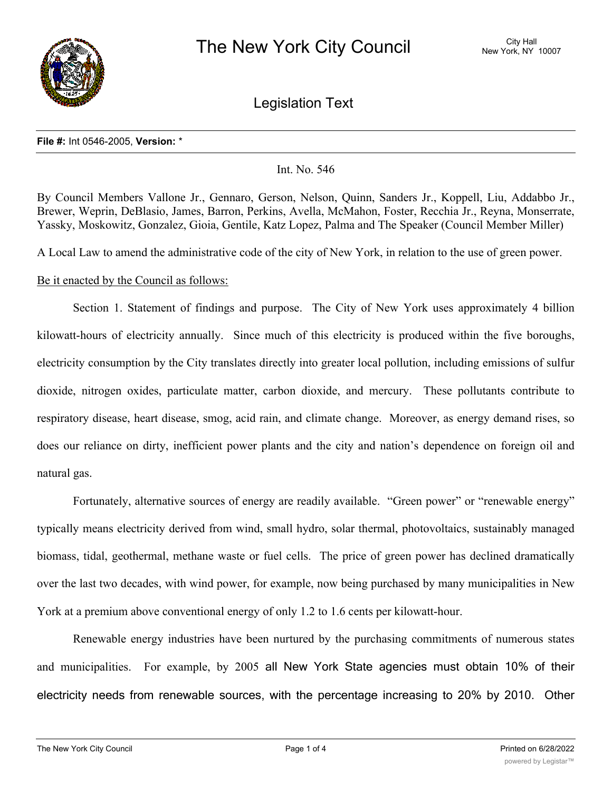

Legislation Text

#### **File #:** Int 0546-2005, **Version:** \*

Int. No. 546

By Council Members Vallone Jr., Gennaro, Gerson, Nelson, Quinn, Sanders Jr., Koppell, Liu, Addabbo Jr., Brewer, Weprin, DeBlasio, James, Barron, Perkins, Avella, McMahon, Foster, Recchia Jr., Reyna, Monserrate, Yassky, Moskowitz, Gonzalez, Gioia, Gentile, Katz Lopez, Palma and The Speaker (Council Member Miller)

A Local Law to amend the administrative code of the city of New York, in relation to the use of green power.

## Be it enacted by the Council as follows:

Section 1. Statement of findings and purpose. The City of New York uses approximately 4 billion kilowatt-hours of electricity annually. Since much of this electricity is produced within the five boroughs, electricity consumption by the City translates directly into greater local pollution, including emissions of sulfur dioxide, nitrogen oxides, particulate matter, carbon dioxide, and mercury. These pollutants contribute to respiratory disease, heart disease, smog, acid rain, and climate change. Moreover, as energy demand rises, so does our reliance on dirty, inefficient power plants and the city and nation's dependence on foreign oil and natural gas.

Fortunately, alternative sources of energy are readily available. "Green power" or "renewable energy" typically means electricity derived from wind, small hydro, solar thermal, photovoltaics, sustainably managed biomass, tidal, geothermal, methane waste or fuel cells. The price of green power has declined dramatically over the last two decades, with wind power, for example, now being purchased by many municipalities in New York at a premium above conventional energy of only 1.2 to 1.6 cents per kilowatt-hour.

Renewable energy industries have been nurtured by the purchasing commitments of numerous states and municipalities. For example, by 2005 all New York State agencies must obtain 10% of their electricity needs from renewable sources, with the percentage increasing to 20% by 2010. Other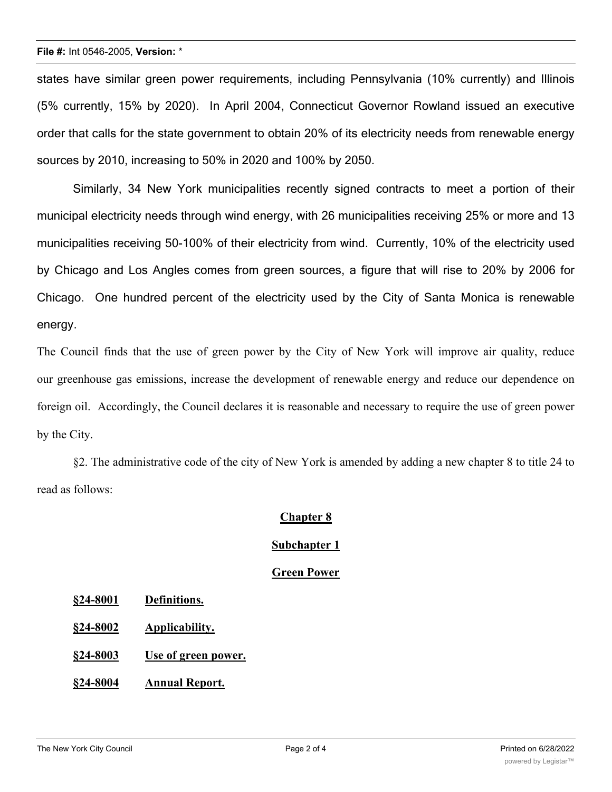#### **File #:** Int 0546-2005, **Version:** \*

states have similar green power requirements, including Pennsylvania (10% currently) and Illinois (5% currently, 15% by 2020). In April 2004, Connecticut Governor Rowland issued an executive order that calls for the state government to obtain 20% of its electricity needs from renewable energy sources by 2010, increasing to 50% in 2020 and 100% by 2050.

Similarly, 34 New York municipalities recently signed contracts to meet a portion of their municipal electricity needs through wind energy, with 26 municipalities receiving 25% or more and 13 municipalities receiving 50-100% of their electricity from wind. Currently, 10% of the electricity used by Chicago and Los Angles comes from green sources, a figure that will rise to 20% by 2006 for Chicago. One hundred percent of the electricity used by the City of Santa Monica is renewable energy.

The Council finds that the use of green power by the City of New York will improve air quality, reduce our greenhouse gas emissions, increase the development of renewable energy and reduce our dependence on foreign oil. Accordingly, the Council declares it is reasonable and necessary to require the use of green power by the City.

§2. The administrative code of the city of New York is amended by adding a new chapter 8 to title 24 to read as follows:

## **Chapter 8**

## **Subchapter 1**

## **Green Power**

- **§24-8001 Definitions.**
- **§24-8002 Applicability.**
- **§24-8003 Use of green power.**
- **§24-8004 Annual Report.**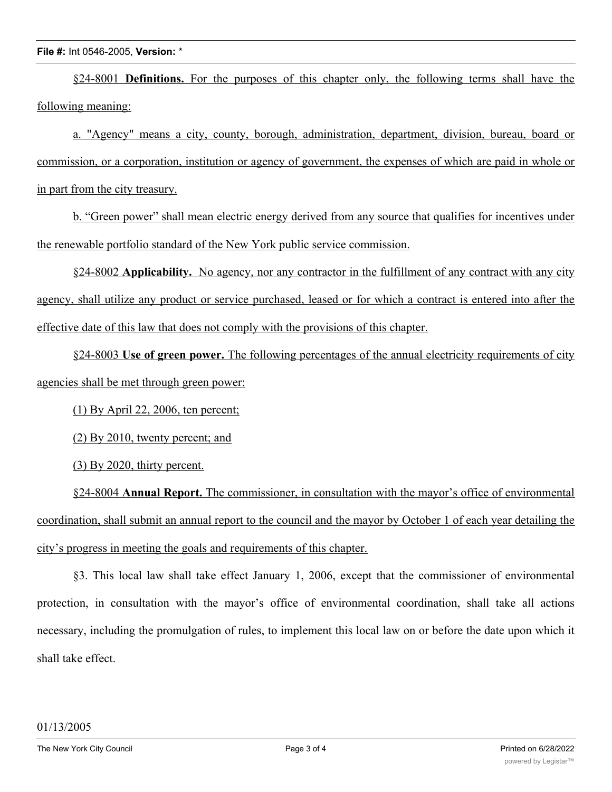§24-8001 **Definitions.** For the purposes of this chapter only, the following terms shall have the following meaning:

a. "Agency" means a city, county, borough, administration, department, division, bureau, board or commission, or a corporation, institution or agency of government, the expenses of which are paid in whole or in part from the city treasury.

b. "Green power" shall mean electric energy derived from any source that qualifies for incentives under the renewable portfolio standard of the New York public service commission.

§24-8002 **Applicability.** No agency, nor any contractor in the fulfillment of any contract with any city agency, shall utilize any product or service purchased, leased or for which a contract is entered into after the effective date of this law that does not comply with the provisions of this chapter.

§24-8003 **Use of green power.** The following percentages of the annual electricity requirements of city agencies shall be met through green power:

(1) By April 22, 2006, ten percent;

(2) By 2010, twenty percent; and

(3) By 2020, thirty percent.

§24-8004 **Annual Report.** The commissioner, in consultation with the mayor's office of environmental coordination, shall submit an annual report to the council and the mayor by October 1 of each year detailing the city's progress in meeting the goals and requirements of this chapter.

§3. This local law shall take effect January 1, 2006, except that the commissioner of environmental protection, in consultation with the mayor's office of environmental coordination, shall take all actions necessary, including the promulgation of rules, to implement this local law on or before the date upon which it shall take effect.